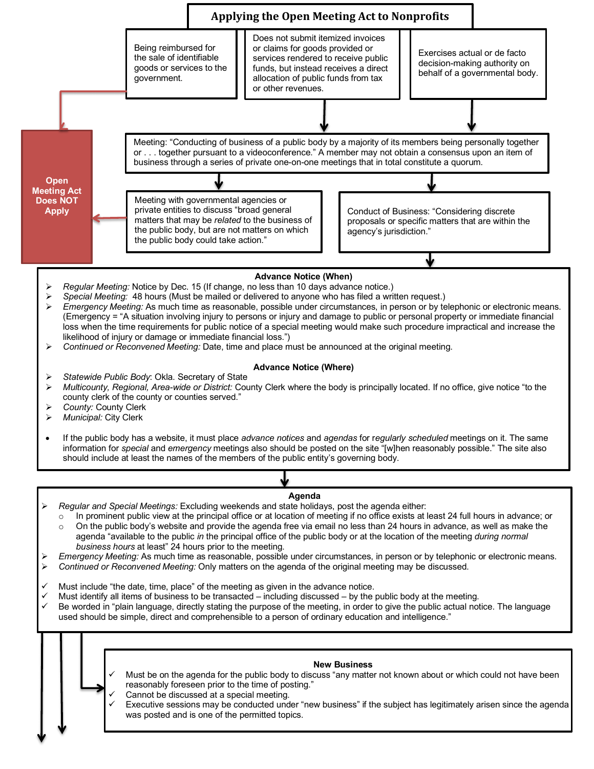